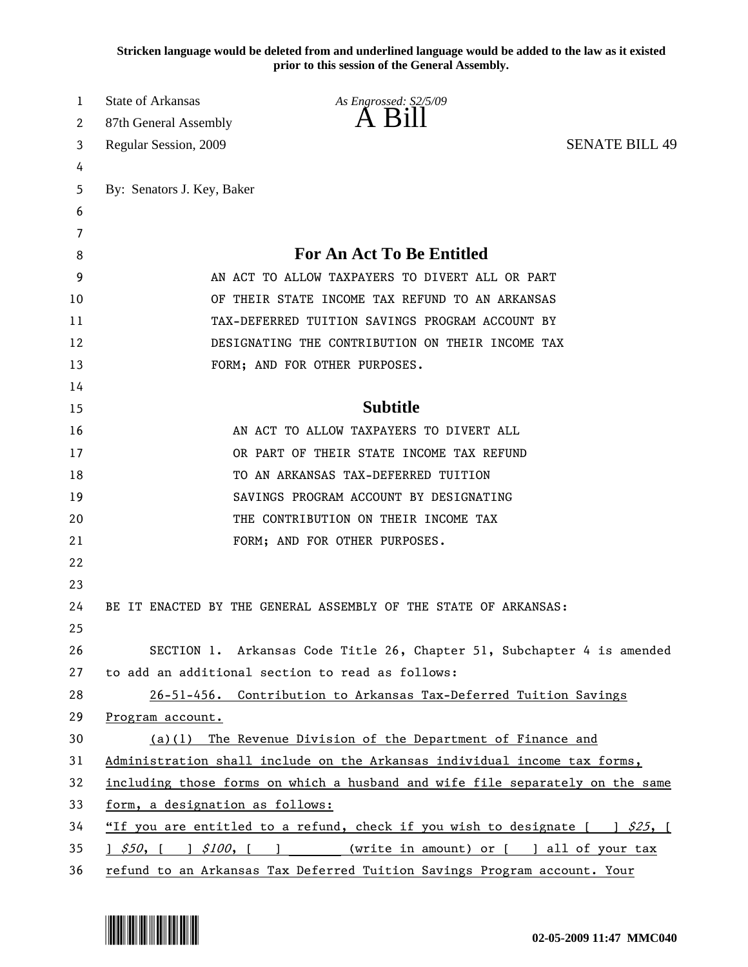**Stricken language would be deleted from and underlined language would be added to the law as it existed prior to this session of the General Assembly.**

| 1  | State of Arkansas                                                             | As Engrossed: S2/5/09<br>A B1ll                                                      |                       |
|----|-------------------------------------------------------------------------------|--------------------------------------------------------------------------------------|-----------------------|
| 2  | 87th General Assembly                                                         |                                                                                      |                       |
| 3  | Regular Session, 2009                                                         |                                                                                      | <b>SENATE BILL 49</b> |
| 4  |                                                                               |                                                                                      |                       |
| 5  | By: Senators J. Key, Baker                                                    |                                                                                      |                       |
| 6  |                                                                               |                                                                                      |                       |
| 7  |                                                                               |                                                                                      |                       |
| 8  |                                                                               | <b>For An Act To Be Entitled</b>                                                     |                       |
| 9  |                                                                               | AN ACT TO ALLOW TAXPAYERS TO DIVERT ALL OR PART                                      |                       |
| 10 |                                                                               | OF THEIR STATE INCOME TAX REFUND TO AN ARKANSAS                                      |                       |
| 11 |                                                                               | TAX-DEFERRED TUITION SAVINGS PROGRAM ACCOUNT BY                                      |                       |
| 12 |                                                                               | DESIGNATING THE CONTRIBUTION ON THEIR INCOME TAX                                     |                       |
| 13 |                                                                               | FORM; AND FOR OTHER PURPOSES.                                                        |                       |
| 14 |                                                                               |                                                                                      |                       |
| 15 |                                                                               | <b>Subtitle</b>                                                                      |                       |
| 16 |                                                                               | AN ACT TO ALLOW TAXPAYERS TO DIVERT ALL                                              |                       |
| 17 |                                                                               | OR PART OF THEIR STATE INCOME TAX REFUND                                             |                       |
| 18 |                                                                               | TO AN ARKANSAS TAX-DEFERRED TUITION                                                  |                       |
| 19 |                                                                               | SAVINGS PROGRAM ACCOUNT BY DESIGNATING                                               |                       |
| 20 |                                                                               | THE CONTRIBUTION ON THEIR INCOME TAX                                                 |                       |
| 21 |                                                                               | FORM; AND FOR OTHER PURPOSES.                                                        |                       |
| 22 |                                                                               |                                                                                      |                       |
| 23 |                                                                               |                                                                                      |                       |
| 24 |                                                                               | BE IT ENACTED BY THE GENERAL ASSEMBLY OF THE STATE OF ARKANSAS:                      |                       |
| 25 |                                                                               |                                                                                      |                       |
| 26 |                                                                               | SECTION 1. Arkansas Code Title 26, Chapter 51, Subchapter 4 is amended               |                       |
| 27 |                                                                               | to add an additional section to read as follows:                                     |                       |
| 28 |                                                                               | 26-51-456. Contribution to Arkansas Tax-Deferred Tuition Savings                     |                       |
| 29 | Program account.                                                              |                                                                                      |                       |
| 30 |                                                                               | $(a)(1)$ The Revenue Division of the Department of Finance and                       |                       |
| 31 |                                                                               | Administration shall include on the Arkansas individual income tax forms,            |                       |
| 32 | including those forms on which a husband and wife file separately on the same |                                                                                      |                       |
| 33 | form, a designation as follows:                                               |                                                                                      |                       |
| 34 |                                                                               | "If you are entitled to a refund, check if you wish to designate $[ \quad ]$ \$25, [ |                       |
| 35 | $\frac{1}{2}$ \$50, [ ] \$100, [ ] (write in amount) or [ ] all of your tax   |                                                                                      |                       |
| 36 | refund to an Arkansas Tax Deferred Tuition Savings Program account. Your      |                                                                                      |                       |